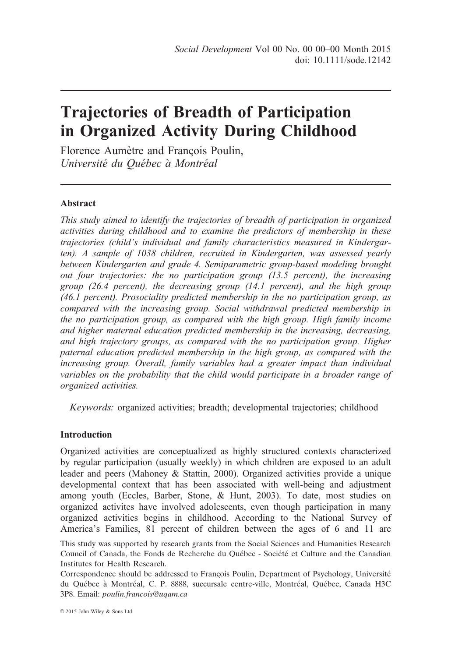# Trajectories of Breadth of Participation in Organized Activity During Childhood

Florence Aumètre and Francois Poulin, Université du Québec à Montréal

# Abstract

This study aimed to identify the trajectories of breadth of participation in organized activities during childhood and to examine the predictors of membership in these trajectories (child's individual and family characteristics measured in Kindergarten). A sample of 1038 children, recruited in Kindergarten, was assessed yearly between Kindergarten and grade 4. Semiparametric group-based modeling brought out four trajectories: the no participation group (13.5 percent), the increasing group (26.4 percent), the decreasing group (14.1 percent), and the high group (46.1 percent). Prosociality predicted membership in the no participation group, as compared with the increasing group. Social withdrawal predicted membership in the no participation group, as compared with the high group. High family income and higher maternal education predicted membership in the increasing, decreasing, and high trajectory groups, as compared with the no participation group. Higher paternal education predicted membership in the high group, as compared with the increasing group. Overall, family variables had a greater impact than individual variables on the probability that the child would participate in a broader range of organized activities.

Keywords: organized activities; breadth; developmental trajectories; childhood

# Introduction

Organized activities are conceptualized as highly structured contexts characterized by regular participation (usually weekly) in which children are exposed to an adult leader and peers (Mahoney & Stattin, 2000). Organized activities provide a unique developmental context that has been associated with well-being and adjustment among youth (Eccles, Barber, Stone, & Hunt, 2003). To date, most studies on organized activites have involved adolescents, even though participation in many organized activities begins in childhood. According to the National Survey of America's Families, 81 percent of children between the ages of 6 and 11 are

This study was supported by research grants from the Social Sciences and Humanities Research Council of Canada, the Fonds de Recherche du Québec - Société et Culture and the Canadian Institutes for Health Research.

Correspondence should be addressed to François Poulin, Department of Psychology, Université du Québec à Montréal, C. P. 8888, succursale centre-ville, Montréal, Québec, Canada H3C 3P8. Email: poulin.francois@uqam.ca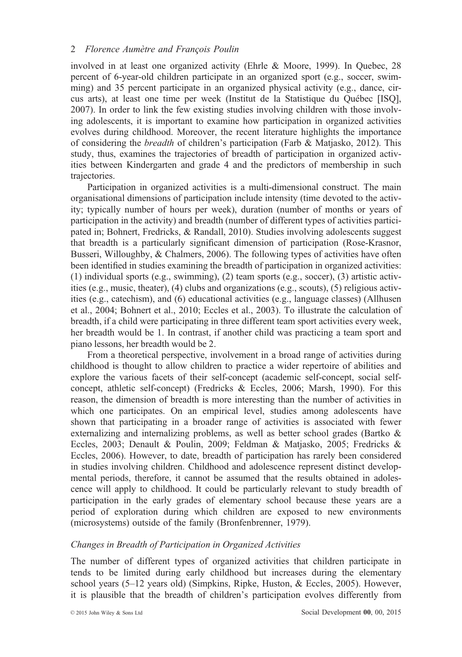involved in at least one organized activity (Ehrle & Moore, 1999). In Quebec, 28 percent of 6-year-old children participate in an organized sport (e.g., soccer, swimming) and 35 percent participate in an organized physical activity (e.g., dance, circus arts), at least one time per week (Institut de la Statistique du Québec [ISQ], 2007). In order to link the few existing studies involving children with those involving adolescents, it is important to examine how participation in organized activities evolves during childhood. Moreover, the recent literature highlights the importance of considering the breadth of children's participation (Farb & Matjasko, 2012). This study, thus, examines the trajectories of breadth of participation in organized activities between Kindergarten and grade 4 and the predictors of membership in such trajectories.

Participation in organized activities is a multi-dimensional construct. The main organisational dimensions of participation include intensity (time devoted to the activity; typically number of hours per week), duration (number of months or years of participation in the activity) and breadth (number of different types of activities participated in; Bohnert, Fredricks, & Randall, 2010). Studies involving adolescents suggest that breadth is a particularly significant dimension of participation (Rose-Krasnor, Busseri, Willoughby, & Chalmers, 2006). The following types of activities have often been identified in studies examining the breadth of participation in organized activities: (1) individual sports (e.g., swimming), (2) team sports (e.g., soccer), (3) artistic activities (e.g., music, theater), (4) clubs and organizations (e.g., scouts), (5) religious activities (e.g., catechism), and (6) educational activities (e.g., language classes) (Allhusen et al., 2004; Bohnert et al., 2010; Eccles et al., 2003). To illustrate the calculation of breadth, if a child were participating in three different team sport activities every week, her breadth would be 1. In contrast, if another child was practicing a team sport and piano lessons, her breadth would be 2.

From a theoretical perspective, involvement in a broad range of activities during childhood is thought to allow children to practice a wider repertoire of abilities and explore the various facets of their self-concept (academic self-concept, social selfconcept, athletic self-concept) (Fredricks & Eccles, 2006; Marsh, 1990). For this reason, the dimension of breadth is more interesting than the number of activities in which one participates. On an empirical level, studies among adolescents have shown that participating in a broader range of activities is associated with fewer externalizing and internalizing problems, as well as better school grades (Bartko & Eccles, 2003; Denault & Poulin, 2009; Feldman & Matjasko, 2005; Fredricks & Eccles, 2006). However, to date, breadth of participation has rarely been considered in studies involving children. Childhood and adolescence represent distinct developmental periods, therefore, it cannot be assumed that the results obtained in adolescence will apply to childhood. It could be particularly relevant to study breadth of participation in the early grades of elementary school because these years are a period of exploration during which children are exposed to new environments (microsystems) outside of the family (Bronfenbrenner, 1979).

## Changes in Breadth of Participation in Organized Activities

The number of different types of organized activities that children participate in tends to be limited during early childhood but increases during the elementary school years (5–12 years old) (Simpkins, Ripke, Huston, & Eccles, 2005). However, it is plausible that the breadth of children's participation evolves differently from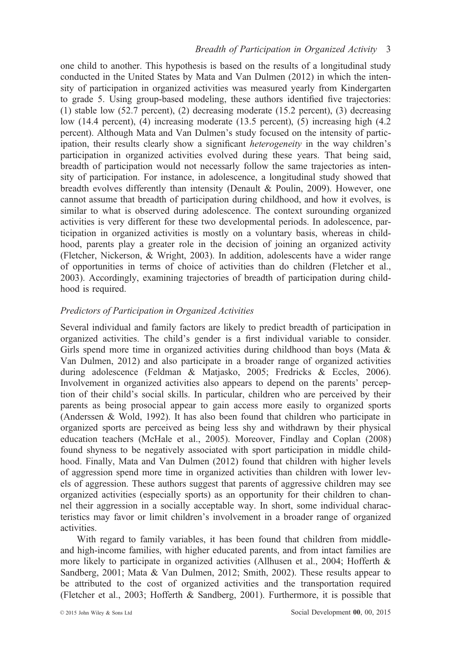one child to another. This hypothesis is based on the results of a longitudinal study conducted in the United States by Mata and Van Dulmen (2012) in which the intensity of participation in organized activities was measured yearly from Kindergarten to grade 5. Using group-based modeling, these authors identified five trajectories: (1) stable low (52.7 percent), (2) decreasing moderate (15.2 percent), (3) decreasing low (14.4 percent), (4) increasing moderate (13.5 percent), (5) increasing high (4.2 percent). Although Mata and Van Dulmen's study focused on the intensity of participation, their results clearly show a significant heterogeneity in the way children's participation in organized activities evolved during these years. That being said, breadth of participation would not necessarly follow the same trajectories as intensity of participation. For instance, in adolescence, a longitudinal study showed that breadth evolves differently than intensity (Denault & Poulin, 2009). However, one cannot assume that breadth of participation during childhood, and how it evolves, is similar to what is observed during adolescence. The context surounding organized activities is very different for these two developmental periods. In adolescence, participation in organized activities is mostly on a voluntary basis, whereas in childhood, parents play a greater role in the decision of joining an organized activity (Fletcher, Nickerson, & Wright, 2003). In addition, adolescents have a wider range of opportunities in terms of choice of activities than do children (Fletcher et al., 2003). Accordingly, examining trajectories of breadth of participation during childhood is required.

## Predictors of Participation in Organized Activities

Several individual and family factors are likely to predict breadth of participation in organized activities. The child's gender is a first individual variable to consider. Girls spend more time in organized activities during childhood than boys (Mata & Van Dulmen, 2012) and also participate in a broader range of organized activities during adolescence (Feldman & Matjasko, 2005; Fredricks & Eccles, 2006). Involvement in organized activities also appears to depend on the parents' perception of their child's social skills. In particular, children who are perceived by their parents as being prosocial appear to gain access more easily to organized sports (Anderssen & Wold, 1992). It has also been found that children who participate in organized sports are perceived as being less shy and withdrawn by their physical education teachers (McHale et al., 2005). Moreover, Findlay and Coplan (2008) found shyness to be negatively associated with sport participation in middle childhood. Finally, Mata and Van Dulmen (2012) found that children with higher levels of aggression spend more time in organized activities than children with lower levels of aggression. These authors suggest that parents of aggressive children may see organized activities (especially sports) as an opportunity for their children to channel their aggression in a socially acceptable way. In short, some individual characteristics may favor or limit children's involvement in a broader range of organized activities.

With regard to family variables, it has been found that children from middleand high-income families, with higher educated parents, and from intact families are more likely to participate in organized activities (Allhusen et al., 2004; Hofferth & Sandberg, 2001; Mata & Van Dulmen, 2012; Smith, 2002). These results appear to be attributed to the cost of organized activities and the transportation required (Fletcher et al., 2003; Hofferth & Sandberg, 2001). Furthermore, it is possible that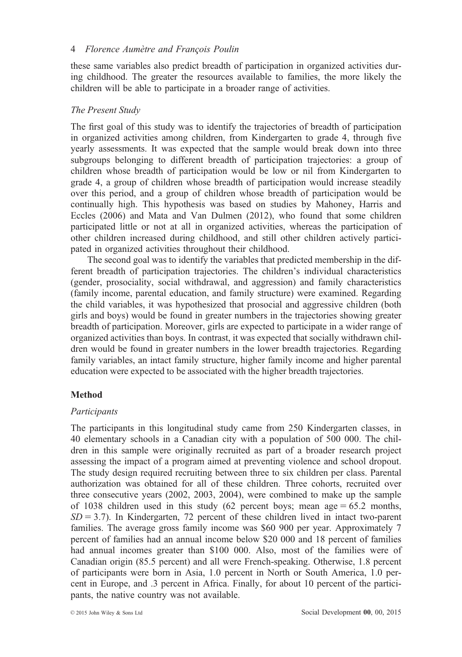these same variables also predict breadth of participation in organized activities during childhood. The greater the resources available to families, the more likely the children will be able to participate in a broader range of activities.

## The Present Study

The first goal of this study was to identify the trajectories of breadth of participation in organized activities among children, from Kindergarten to grade 4, through five yearly assessments. It was expected that the sample would break down into three subgroups belonging to different breadth of participation trajectories: a group of children whose breadth of participation would be low or nil from Kindergarten to grade 4, a group of children whose breadth of participation would increase steadily over this period, and a group of children whose breadth of participation would be continually high. This hypothesis was based on studies by Mahoney, Harris and Eccles (2006) and Mata and Van Dulmen (2012), who found that some children participated little or not at all in organized activities, whereas the participation of other children increased during childhood, and still other children actively participated in organized activities throughout their childhood.

The second goal was to identify the variables that predicted membership in the different breadth of participation trajectories. The children's individual characteristics (gender, prosociality, social withdrawal, and aggression) and family characteristics (family income, parental education, and family structure) were examined. Regarding the child variables, it was hypothesized that prosocial and aggressive children (both girls and boys) would be found in greater numbers in the trajectories showing greater breadth of participation. Moreover, girls are expected to participate in a wider range of organized activities than boys. In contrast, it was expected that socially withdrawn children would be found in greater numbers in the lower breadth trajectories. Regarding family variables, an intact family structure, higher family income and higher parental education were expected to be associated with the higher breadth trajectories.

# Method

## Participants

The participants in this longitudinal study came from 250 Kindergarten classes, in 40 elementary schools in a Canadian city with a population of 500 000. The children in this sample were originally recruited as part of a broader research project assessing the impact of a program aimed at preventing violence and school dropout. The study design required recruiting between three to six children per class. Parental authorization was obtained for all of these children. Three cohorts, recruited over three consecutive years (2002, 2003, 2004), were combined to make up the sample of 1038 children used in this study  $(62 \text{ percent boys}; \text{mean age} = 65.2 \text{ months},$  $SD = 3.7$ ). In Kindergarten, 72 percent of these children lived in intact two-parent families. The average gross family income was \$60 900 per year. Approximately 7 percent of families had an annual income below \$20 000 and 18 percent of families had annual incomes greater than \$100 000. Also, most of the families were of Canadian origin (85.5 percent) and all were French-speaking. Otherwise, 1.8 percent of participants were born in Asia, 1.0 percent in North or South America, 1.0 percent in Europe, and .3 percent in Africa. Finally, for about 10 percent of the participants, the native country was not available.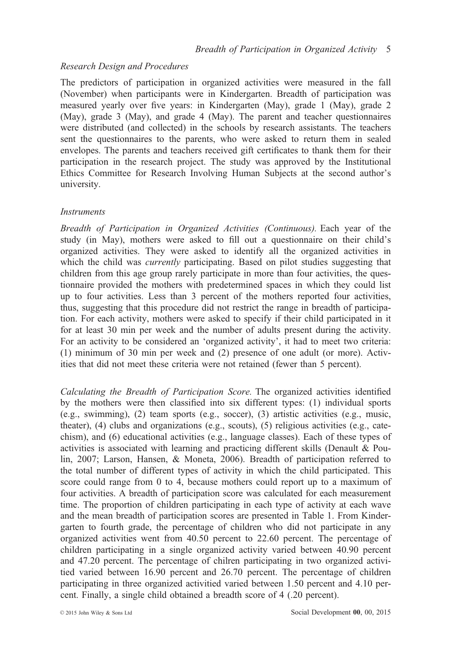## Research Design and Procedures

The predictors of participation in organized activities were measured in the fall (November) when participants were in Kindergarten. Breadth of participation was measured yearly over five years: in Kindergarten (May), grade 1 (May), grade 2 (May), grade 3 (May), and grade 4 (May). The parent and teacher questionnaires were distributed (and collected) in the schools by research assistants. The teachers sent the questionnaires to the parents, who were asked to return them in sealed envelopes. The parents and teachers received gift certificates to thank them for their participation in the research project. The study was approved by the Institutional Ethics Committee for Research Involving Human Subjects at the second author's university.

#### Instruments

Breadth of Participation in Organized Activities (Continuous). Each year of the study (in May), mothers were asked to fill out a questionnaire on their child's organized activities. They were asked to identify all the organized activities in which the child was *currently* participating. Based on pilot studies suggesting that children from this age group rarely participate in more than four activities, the questionnaire provided the mothers with predetermined spaces in which they could list up to four activities. Less than 3 percent of the mothers reported four activities, thus, suggesting that this procedure did not restrict the range in breadth of participation. For each activity, mothers were asked to specify if their child participated in it for at least 30 min per week and the number of adults present during the activity. For an activity to be considered an 'organized activity', it had to meet two criteria: (1) minimum of 30 min per week and (2) presence of one adult (or more). Activities that did not meet these criteria were not retained (fewer than 5 percent).

Calculating the Breadth of Participation Score. The organized activities identified by the mothers were then classified into six different types: (1) individual sports (e.g., swimming), (2) team sports (e.g., soccer), (3) artistic activities (e.g., music, theater), (4) clubs and organizations (e.g., scouts), (5) religious activities (e.g., catechism), and (6) educational activities (e.g., language classes). Each of these types of activities is associated with learning and practicing different skills (Denault & Poulin, 2007; Larson, Hansen, & Moneta, 2006). Breadth of participation referred to the total number of different types of activity in which the child participated. This score could range from 0 to 4, because mothers could report up to a maximum of four activities. A breadth of participation score was calculated for each measurement time. The proportion of children participating in each type of activity at each wave and the mean breadth of participation scores are presented in Table 1. From Kindergarten to fourth grade, the percentage of children who did not participate in any organized activities went from 40.50 percent to 22.60 percent. The percentage of children participating in a single organized activity varied between 40.90 percent and 47.20 percent. The percentage of chilren participating in two organized activitied varied between 16.90 percent and 26.70 percent. The percentage of children participating in three organized activitied varied between 1.50 percent and 4.10 percent. Finally, a single child obtained a breadth score of 4 (.20 percent).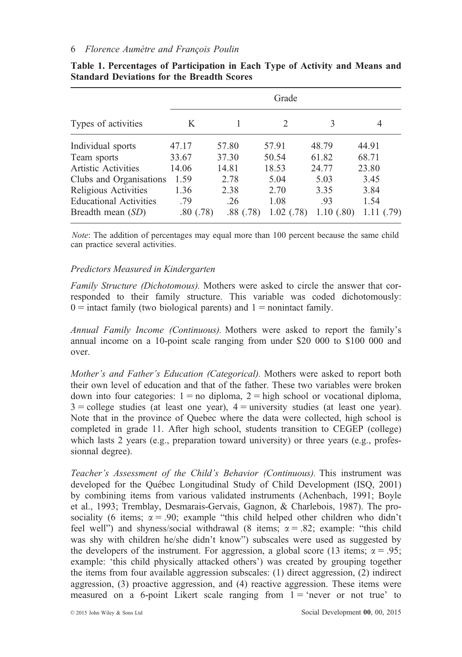|                               | Grade    |       |          |            |       |  |
|-------------------------------|----------|-------|----------|------------|-------|--|
| Types of activities           | K        |       | 2        | 3          | 4     |  |
| Individual sports             | 47.17    | 57.80 | 57.91    | 48.79      | 44.91 |  |
| Team sports                   | 33.67    | 37.30 | 50.54    | 61.82      | 68.71 |  |
| <b>Artistic Activities</b>    | 14.06    | 14.81 | 18.53    | 24.77      | 23.80 |  |
| Clubs and Organisations       | 1.59     | 2.78  | 5.04     | 5.03       | 3.45  |  |
| Religious Activities          | 1.36     | 2.38  | 2.70     | 3.35       | 3.84  |  |
| <b>Educational Activities</b> | .79      | .26   | 1.08     | .93        | 1.54  |  |
| Breadth mean $(SD)$           | .80(.78) | .88   | 1.02(78) | 1.10(0.80) | (.79) |  |

Table 1. Percentages of Participation in Each Type of Activity and Means and Standard Deviations for the Breadth Scores

Note: The addition of percentages may equal more than 100 percent because the same child can practice several activities.

## Predictors Measured in Kindergarten

Family Structure (Dichotomous). Mothers were asked to circle the answer that corresponded to their family structure. This variable was coded dichotomously:  $0 =$  intact family (two biological parents) and  $1 =$  nonintact family.

Annual Family Income (Continuous). Mothers were asked to report the family's annual income on a 10-point scale ranging from under \$20 000 to \$100 000 and over.

Mother's and Father's Education (Categorical). Mothers were asked to report both their own level of education and that of the father. These two variables were broken down into four categories:  $1 =$  no diploma,  $2 =$  high school or vocational diploma,  $3 =$  college studies (at least one year),  $4 =$  university studies (at least one year). Note that in the province of Quebec where the data were collected, high school is completed in grade 11. After high school, students transition to CEGEP (college) which lasts 2 years (e.g., preparation toward university) or three years (e.g., professionnal degree).

Teacher's Assessment of the Child's Behavior (Continuous). This instrument was developed for the Québec Longitudinal Study of Child Development (ISQ, 2001) by combining items from various validated instruments (Achenbach, 1991; Boyle et al., 1993; Tremblay, Desmarais-Gervais, Gagnon, & Charlebois, 1987). The prosociality (6 items;  $\alpha = .90$ ; example "this child helped other children who didn't feel well") and shyness/social withdrawal (8 items;  $\alpha = .82$ ; example: "this child was shy with children he/she didn't know") subscales were used as suggested by the developers of the instrument. For aggression, a global score (13 items;  $\alpha = .95$ ; example: 'this child physically attacked others') was created by grouping together the items from four available aggression subscales: (1) direct aggression, (2) indirect aggression, (3) proactive aggression, and (4) reactive aggression. These items were measured on a 6-point Likert scale ranging from  $1 = 'n$ ever or not true' to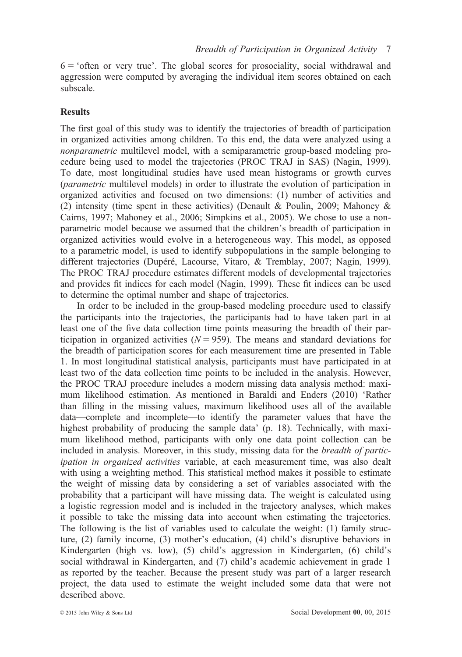$6 = 'often or very true'.$  The global scores for prosociality, social withdrawal and aggression were computed by averaging the individual item scores obtained on each subscale.

#### **Results**

The first goal of this study was to identify the trajectories of breadth of participation in organized activities among children. To this end, the data were analyzed using a nonparametric multilevel model, with a semiparametric group-based modeling procedure being used to model the trajectories (PROC TRAJ in SAS) (Nagin, 1999). To date, most longitudinal studies have used mean histograms or growth curves (parametric multilevel models) in order to illustrate the evolution of participation in organized activities and focused on two dimensions: (1) number of activities and (2) intensity (time spent in these activities) (Denault & Poulin, 2009; Mahoney & Cairns, 1997; Mahoney et al., 2006; Simpkins et al., 2005). We chose to use a nonparametric model because we assumed that the children's breadth of participation in organized activities would evolve in a heterogeneous way. This model, as opposed to a parametric model, is used to identify subpopulations in the sample belonging to different trajectories (Dupéré, Lacourse, Vitaro, & Tremblay, 2007; Nagin, 1999). The PROC TRAJ procedure estimates different models of developmental trajectories and provides fit indices for each model (Nagin, 1999). These fit indices can be used to determine the optimal number and shape of trajectories.

In order to be included in the group-based modeling procedure used to classify the participants into the trajectories, the participants had to have taken part in at least one of the five data collection time points measuring the breadth of their participation in organized activities ( $N = 959$ ). The means and standard deviations for the breadth of participation scores for each measurement time are presented in Table 1. In most longitudinal statistical analysis, participants must have participated in at least two of the data collection time points to be included in the analysis. However, the PROC TRAJ procedure includes a modern missing data analysis method: maximum likelihood estimation. As mentioned in Baraldi and Enders (2010) 'Rather than filling in the missing values, maximum likelihood uses all of the available data—complete and incomplete—to identify the parameter values that have the highest probability of producing the sample data' (p. 18). Technically, with maximum likelihood method, participants with only one data point collection can be included in analysis. Moreover, in this study, missing data for the breadth of participation in organized activities variable, at each measurement time, was also dealt with using a weighting method. This statistical method makes it possible to estimate the weight of missing data by considering a set of variables associated with the probability that a participant will have missing data. The weight is calculated using a logistic regression model and is included in the trajectory analyses, which makes it possible to take the missing data into account when estimating the trajectories. The following is the list of variables used to calculate the weight: (1) family structure, (2) family income, (3) mother's education, (4) child's disruptive behaviors in Kindergarten (high vs. low), (5) child's aggression in Kindergarten, (6) child's social withdrawal in Kindergarten, and (7) child's academic achievement in grade 1 as reported by the teacher. Because the present study was part of a larger research project, the data used to estimate the weight included some data that were not described above.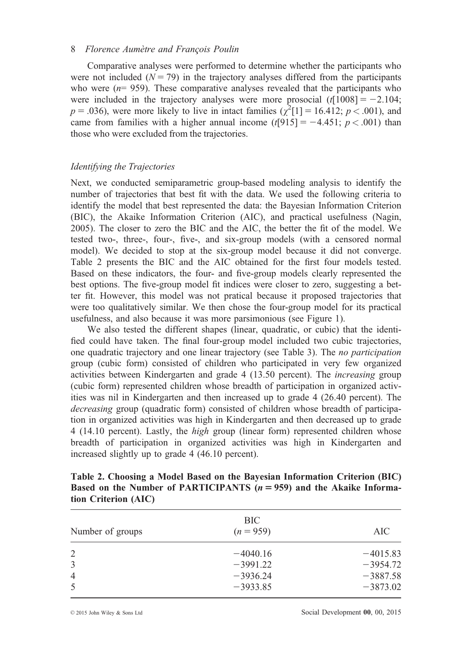Comparative analyses were performed to determine whether the participants who were not included  $(N = 79)$  in the trajectory analyses differed from the participants who were  $(n= 959)$ . These comparative analyses revealed that the participants who were included in the trajectory analyses were more prosocial  $(t[1008] = -2.104$ ;  $p = .036$ ), were more likely to live in intact families ( $\chi^2[1] = 16.412$ ;  $p < .001$ ), and came from families with a higher annual income  $(t[915] = -4.451; p < .001)$  than those who were excluded from the trajectories.

## Identifying the Trajectories

Next, we conducted semiparametric group-based modeling analysis to identify the number of trajectories that best fit with the data. We used the following criteria to identify the model that best represented the data: the Bayesian Information Criterion (BIC), the Akaike Information Criterion (AIC), and practical usefulness (Nagin, 2005). The closer to zero the BIC and the AIC, the better the fit of the model. We tested two-, three-, four-, five-, and six-group models (with a censored normal model). We decided to stop at the six-group model because it did not converge. Table 2 presents the BIC and the AIC obtained for the first four models tested. Based on these indicators, the four- and five-group models clearly represented the best options. The five-group model fit indices were closer to zero, suggesting a better fit. However, this model was not pratical because it proposed trajectories that were too qualitatively similar. We then chose the four-group model for its practical usefulness, and also because it was more parsimonious (see Figure 1).

We also tested the different shapes (linear, quadratic, or cubic) that the identified could have taken. The final four-group model included two cubic trajectories, one quadratic trajectory and one linear trajectory (see Table 3). The no participation group (cubic form) consisted of children who participated in very few organized activities between Kindergarten and grade 4 (13.50 percent). The increasing group (cubic form) represented children whose breadth of participation in organized activities was nil in Kindergarten and then increased up to grade 4 (26.40 percent). The decreasing group (quadratic form) consisted of children whose breadth of participation in organized activities was high in Kindergarten and then decreased up to grade 4 (14.10 percent). Lastly, the high group (linear form) represented children whose breadth of participation in organized activities was high in Kindergarten and increased slightly up to grade 4 (46.10 percent).

| Table 2. Choosing a Model Based on the Bayesian Information Criterion (BIC) |
|-----------------------------------------------------------------------------|
| Based on the Number of PARTICIPANTS $(n = 959)$ and the Akaike Informa-     |
| tion Criterion (AIC)                                                        |

| Number of groups | BIC.<br>$(n = 959)$ | AIC        |  |  |
|------------------|---------------------|------------|--|--|
| 2                | $-4040.16$          | $-4015.83$ |  |  |
| 3                | $-3991.22$          | $-3954.72$ |  |  |
| $\overline{4}$   | $-3936.24$          | $-3887.58$ |  |  |
| 5                | $-3933.85$          | $-3873.02$ |  |  |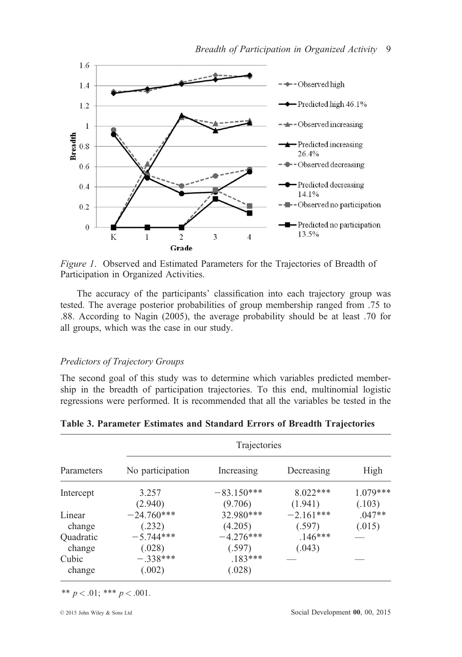

Figure 1. Observed and Estimated Parameters for the Trajectories of Breadth of Participation in Organized Activities.

The accuracy of the participants' classification into each trajectory group was tested. The average posterior probabilities of group membership ranged from .75 to .88. According to Nagin (2005), the average probability should be at least .70 for all groups, which was the case in our study.

## Predictors of Trajectory Groups

The second goal of this study was to determine which variables predicted membership in the breadth of participation trajectories. To this end, multinomial logistic regressions were performed. It is recommended that all the variables be tested in the

|                 | Trajectories         |                     |             |            |  |  |  |  |
|-----------------|----------------------|---------------------|-------------|------------|--|--|--|--|
| Parameters      | No participation     | Increasing          | Decreasing  | High       |  |  |  |  |
| Intercept       | 3.257                | $-83.150***$        | $8.022***$  | $1.079***$ |  |  |  |  |
|                 | (2.940)              | (9.706)             | (1.941)     | (.103)     |  |  |  |  |
| Linear          | $-24.760***$         | 32.980***           | $-2.161***$ | $.047**$   |  |  |  |  |
| change          | (.232)               | (4.205)             | (.597)      | (.015)     |  |  |  |  |
| Quadratic       | $-5.744***$          | $-4.276***$         | $.146***$   |            |  |  |  |  |
| change          | (.028)               | (.597)              | (.043)      |            |  |  |  |  |
| Cubic<br>change | $-.338***$<br>(.002) | $.183***$<br>(.028) |             |            |  |  |  |  |

Table 3. Parameter Estimates and Standard Errors of Breadth Trajectories

\*\*  $p < .01$ ; \*\*\*  $p < .001$ .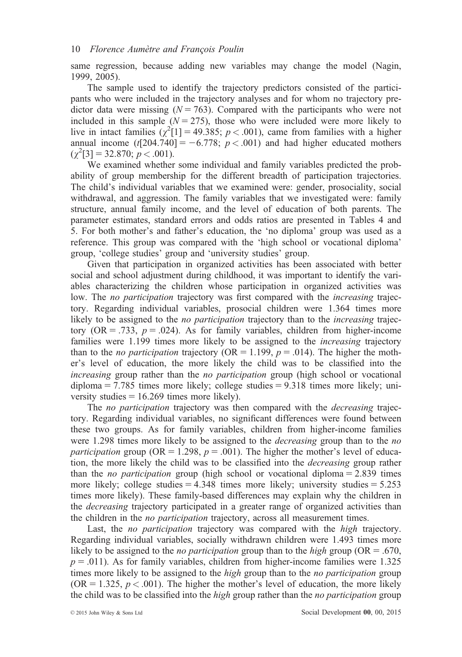same regression, because adding new variables may change the model (Nagin, 1999, 2005).

The sample used to identify the trajectory predictors consisted of the participants who were included in the trajectory analyses and for whom no trajectory predictor data were missing ( $N = 763$ ). Compared with the participants who were not included in this sample ( $N = 275$ ), those who were included were more likely to live in intact families  $(\chi^2[1] = 49.385; p < .001)$ , came from families with a higher annual income  $(t[204.740] = -6.778; p < .001)$  and had higher educated mothers  $(\chi^2[3] = 32.870; p < .001).$ 

We examined whether some individual and family variables predicted the probability of group membership for the different breadth of participation trajectories. The child's individual variables that we examined were: gender, prosociality, social withdrawal, and aggression. The family variables that we investigated were: family structure, annual family income, and the level of education of both parents. The parameter estimates, standard errors and odds ratios are presented in Tables 4 and 5. For both mother's and father's education, the 'no diploma' group was used as a reference. This group was compared with the 'high school or vocational diploma' group, 'college studies' group and 'university studies' group.

Given that participation in organized activities has been associated with better social and school adjustment during childhood, it was important to identify the variables characterizing the children whose participation in organized activities was low. The no participation trajectory was first compared with the *increasing* trajectory. Regarding individual variables, prosocial children were 1.364 times more likely to be assigned to the *no participation* trajectory than to the *increasing* trajectory (OR = .733,  $p = .024$ ). As for family variables, children from higher-income families were 1.199 times more likely to be assigned to the *increasing* trajectory than to the *no participation* trajectory (OR = 1.199,  $p = .014$ ). The higher the mother's level of education, the more likely the child was to be classified into the increasing group rather than the *no participation* group (high school or vocational  $diploma = 7.785$  times more likely; college studies = 9.318 times more likely; university studies  $= 16.269$  times more likely).

The *no participation* trajectory was then compared with the *decreasing* trajectory. Regarding individual variables, no significant differences were found between these two groups. As for family variables, children from higher-income families were 1.298 times more likely to be assigned to the *decreasing* group than to the *no* participation group (OR = 1.298,  $p = .001$ ). The higher the mother's level of education, the more likely the child was to be classified into the decreasing group rather than the *no participation* group (high school or vocational diploma  $= 2.839$  times more likely; college studies  $= 4.348$  times more likely; university studies  $= 5.253$ times more likely). These family-based differences may explain why the children in the *decreasing* trajectory participated in a greater range of organized activities than the children in the no participation trajectory, across all measurement times.

Last, the *no participation* trajectory was compared with the *high* trajectory. Regarding individual variables, socially withdrawn children were 1.493 times more likely to be assigned to the *no participation* group than to the *high* group (OR = .670,  $p = .011$ ). As for family variables, children from higher-income families were 1.325 times more likely to be assigned to the *high* group than to the *no participation* group  $(OR = 1.325, p < .001)$ . The higher the mother's level of education, the more likely the child was to be classified into the *high* group rather than the *no participation* group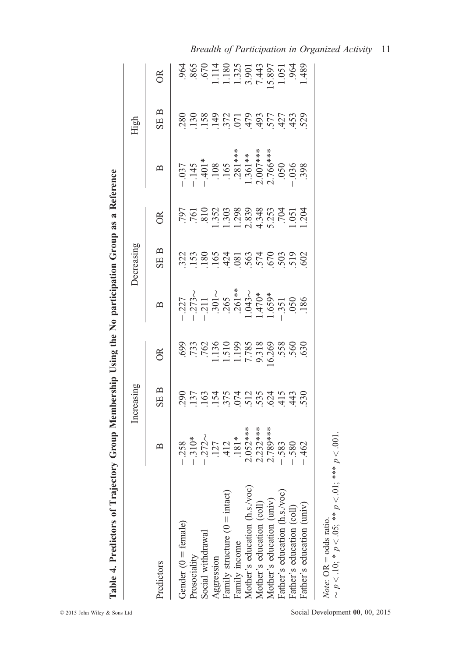|                                        |                                                                                                                                                                                     | Increasing |                                                                                                                                                                                                                                                                                                               |                   | Decreasing      |                                                                                                                                                                       |                                                                                                                                                                                            | High               |                                                                                                                                                                                                                                                                                                                                                      |
|----------------------------------------|-------------------------------------------------------------------------------------------------------------------------------------------------------------------------------------|------------|---------------------------------------------------------------------------------------------------------------------------------------------------------------------------------------------------------------------------------------------------------------------------------------------------------------|-------------------|-----------------|-----------------------------------------------------------------------------------------------------------------------------------------------------------------------|--------------------------------------------------------------------------------------------------------------------------------------------------------------------------------------------|--------------------|------------------------------------------------------------------------------------------------------------------------------------------------------------------------------------------------------------------------------------------------------------------------------------------------------------------------------------------------------|
| redictors                              | $\mathbf{\Omega}$                                                                                                                                                                   | SE B       | $\approx$                                                                                                                                                                                                                                                                                                     | $\mathbf{\Omega}$ | SE <sub>B</sub> | $\overline{OR}$                                                                                                                                                       | $\mathbf{D}$                                                                                                                                                                               | $\mathbf{p}$<br>SE | $\approx$                                                                                                                                                                                                                                                                                                                                            |
| Gender $(0 = \text{female})$           |                                                                                                                                                                                     |            |                                                                                                                                                                                                                                                                                                               |                   |                 |                                                                                                                                                                       |                                                                                                                                                                                            |                    |                                                                                                                                                                                                                                                                                                                                                      |
| Prosociality                           |                                                                                                                                                                                     |            |                                                                                                                                                                                                                                                                                                               |                   |                 |                                                                                                                                                                       |                                                                                                                                                                                            |                    |                                                                                                                                                                                                                                                                                                                                                      |
| Social withdrawal                      | $-258$<br>$-310*$<br>$-127$<br>$-127$<br>$-127$<br>$-181*$<br>$-181*$<br>$-181*$<br>$-181*$<br>$-181*$<br>$-181*$<br>$-181*$<br>$-180*$<br>$-180*$<br>$-180*$<br>$-180*$<br>$-180*$ |            | $\begin{array}{r} 0.69 \\ 0.73 \\ 0.73 \\ 0.74 \\ 0.11 \\ 0.11 \\ 0.11 \\ 0.11 \\ 0.11 \\ 0.11 \\ 0.11 \\ 0.11 \\ 0.11 \\ 0.11 \\ 0.11 \\ 0.11 \\ 0.11 \\ 0.11 \\ 0.11 \\ 0.11 \\ 0.11 \\ 0.11 \\ 0.11 \\ 0.11 \\ 0.11 \\ 0.11 \\ 0.11 \\ 0.11 \\ 0.11 \\ 0.11 \\ 0.11 \\ 0.11 \\ 0.11 \\ 0.11 \\ 0.11 \\ 0.$ |                   |                 | $\frac{797}{761}$<br>$\frac{761}{323}$<br>$\frac{1303}{238}$<br>$\frac{283}{238}$<br>$\frac{283}{436}$<br>$\frac{373}{450}$<br>$\frac{101}{100}$<br>$\frac{101}{100}$ | $-145$<br>$-145$<br>$-140$<br>$-108$<br>$-165$<br>$-165$<br>$-165$<br>$-165$<br>$-165$<br>$-165$<br>$-165$<br>$-165$<br>$-165$<br>$-165$<br>$-165$<br>$-165$<br>$-165$<br>$-165$<br>$-165$ |                    | $\begin{array}{r} .964 \\ .865 \\ .670 \\ .111 \\ .130 \\ .901 \\ .1301 \\ .1300 \\ .697 \\ .1051 \\ .1051 \\ .1051 \\ .1051 \\ .1051 \\ .1051 \\ .1051 \\ .1051 \\ .1051 \\ .1051 \\ .1051 \\ .1051 \\ .1051 \\ .1051 \\ .1051 \\ .1051 \\ .1051 \\ .1051 \\ .1051 \\ .1051 \\ .1051 \\ .1051 \\ .1051 \\ .1051 \\ .1051 \\ .1051 \\ .1051 \\ .105$ |
| Aggression                             |                                                                                                                                                                                     |            |                                                                                                                                                                                                                                                                                                               |                   |                 |                                                                                                                                                                       |                                                                                                                                                                                            |                    |                                                                                                                                                                                                                                                                                                                                                      |
| Family structure $(0 = \text{intact})$ |                                                                                                                                                                                     |            |                                                                                                                                                                                                                                                                                                               |                   |                 |                                                                                                                                                                       |                                                                                                                                                                                            |                    |                                                                                                                                                                                                                                                                                                                                                      |
| Family income                          |                                                                                                                                                                                     |            |                                                                                                                                                                                                                                                                                                               |                   |                 |                                                                                                                                                                       |                                                                                                                                                                                            |                    |                                                                                                                                                                                                                                                                                                                                                      |
| Mother's education (h.s./voc)          |                                                                                                                                                                                     |            |                                                                                                                                                                                                                                                                                                               |                   |                 |                                                                                                                                                                       |                                                                                                                                                                                            |                    |                                                                                                                                                                                                                                                                                                                                                      |
| Mother's education (coll)              |                                                                                                                                                                                     |            |                                                                                                                                                                                                                                                                                                               |                   |                 |                                                                                                                                                                       |                                                                                                                                                                                            |                    |                                                                                                                                                                                                                                                                                                                                                      |
| Mother's education (univ)              |                                                                                                                                                                                     |            |                                                                                                                                                                                                                                                                                                               |                   |                 |                                                                                                                                                                       |                                                                                                                                                                                            |                    |                                                                                                                                                                                                                                                                                                                                                      |
| Father's education (h.s./voc)          |                                                                                                                                                                                     |            |                                                                                                                                                                                                                                                                                                               |                   |                 |                                                                                                                                                                       |                                                                                                                                                                                            |                    |                                                                                                                                                                                                                                                                                                                                                      |
| Father's education (coll)              |                                                                                                                                                                                     |            |                                                                                                                                                                                                                                                                                                               |                   |                 |                                                                                                                                                                       |                                                                                                                                                                                            |                    | .964                                                                                                                                                                                                                                                                                                                                                 |
| Father's education (univ)              |                                                                                                                                                                                     |            |                                                                                                                                                                                                                                                                                                               |                   |                 |                                                                                                                                                                       |                                                                                                                                                                                            |                    | .489                                                                                                                                                                                                                                                                                                                                                 |
|                                        |                                                                                                                                                                                     |            |                                                                                                                                                                                                                                                                                                               |                   |                 |                                                                                                                                                                       |                                                                                                                                                                                            |                    |                                                                                                                                                                                                                                                                                                                                                      |

| <b>DO MEDAL</b>             |  |
|-----------------------------|--|
|                             |  |
| ₹<br>$-1.2 - 1.4$           |  |
| $\frac{1}{2}$               |  |
|                             |  |
| $\sim$ $\sim$ $\sim$ $\sim$ |  |
| i<br><b>Second</b>          |  |
|                             |  |

Breadth of Participation in Organized Activity 11

 $\overline{a}$  $\ddot{\phantom{a}}$ 

> Note: OR odds ratio.  $\overset{*}{\sim}$  $< 0.05$ ; \*\*

 $\sigma$ 

 $\sigma$ 

 $\sigma$ 

 $< 01$ ; \*\*\*

p  $< 0.001$ .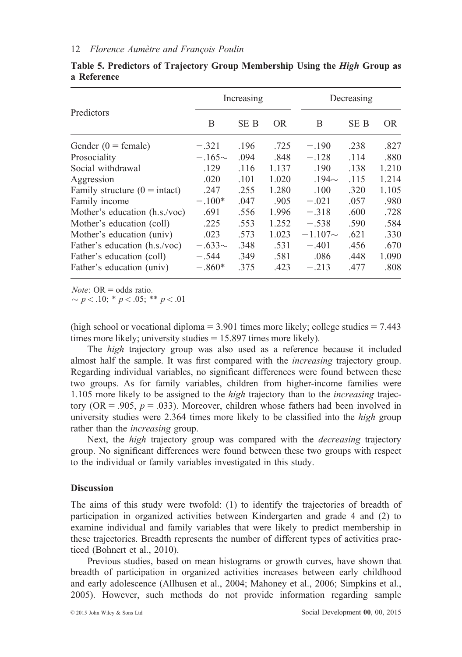|                                        |             | Increasing |       | Decreasing   |      |       |
|----------------------------------------|-------------|------------|-------|--------------|------|-------|
| Predictors                             | B           | SE B       | OR.   | B            | SE B | OR.   |
| Gender $(0 = \text{female})$           | $-.321$     | .196       | .725  | $-.190$      | .238 | .827  |
| Prosociality                           | $-.165\sim$ | .094       | .848  | $-.128$      | .114 | .880  |
| Social withdrawal                      | .129        | .116       | 1.137 | .190         | .138 | 1.210 |
| Aggression                             | .020        | .101       | 1.020 | $.194\sim$   | .115 | 1.214 |
| Family structure $(0 = \text{intact})$ | .247        | .255       | 1.280 | .100         | .320 | 1.105 |
| Family income                          | $-.100*$    | .047       | .905  | $-.021$      | .057 | .980  |
| Mother's education (h.s./voc)          | .691        | .556       | 1.996 | $-.318$      | .600 | .728  |
| Mother's education (coll)              | .225        | .553       | 1.252 | $-.538$      | .590 | .584  |
| Mother's education (univ)              | .023        | .573       | 1.023 | $-1.107\sim$ | .621 | .330  |
| Father's education (h.s./voc)          | $-.633\sim$ | .348       | .531  | $-.401$      | .456 | .670  |
| Father's education (coll)              | $-.544$     | .349       | .581  | .086         | .448 | 1.090 |
| Father's education (univ)              | $-.860*$    | .375       | .423  | $-.213$      | .477 | .808  |

Table 5. Predictors of Trajectory Group Membership Using the High Group as a Reference

*Note:*  $OR = odds ratio$ .

 $\sim p < .10; * p < .05; ** p < .01$ 

(high school or vocational diploma  $= 3.901$  times more likely; college studies  $= 7.443$ times more likely; university studies  $= 15.897$  times more likely).

The high trajectory group was also used as a reference because it included almost half the sample. It was first compared with the increasing trajectory group. Regarding individual variables, no significant differences were found between these two groups. As for family variables, children from higher-income families were 1.105 more likely to be assigned to the high trajectory than to the increasing trajectory (OR = .905,  $p = .033$ ). Moreover, children whose fathers had been involved in university studies were 2.364 times more likely to be classified into the *high* group rather than the *increasing* group.

Next, the *high* trajectory group was compared with the *decreasing* trajectory group. No significant differences were found between these two groups with respect to the individual or family variables investigated in this study.

#### **Discussion**

The aims of this study were twofold: (1) to identify the trajectories of breadth of participation in organized activities between Kindergarten and grade 4 and (2) to examine individual and family variables that were likely to predict membership in these trajectories. Breadth represents the number of different types of activities practiced (Bohnert et al., 2010).

Previous studies, based on mean histograms or growth curves, have shown that breadth of participation in organized activities increases between early childhood and early adolescence (Allhusen et al., 2004; Mahoney et al., 2006; Simpkins et al., 2005). However, such methods do not provide information regarding sample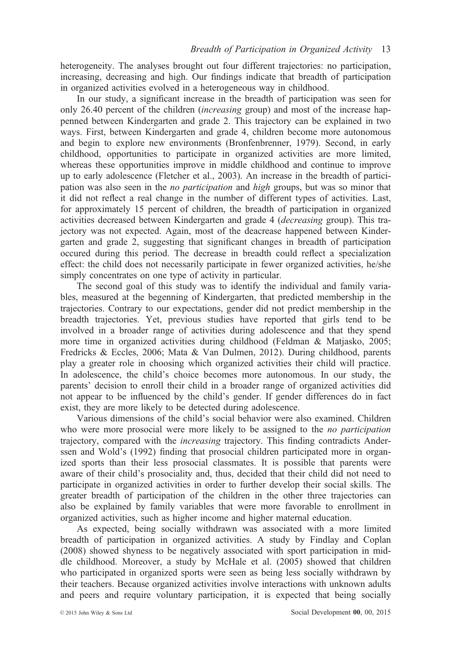heterogeneity. The analyses brought out four different trajectories: no participation, increasing, decreasing and high. Our findings indicate that breadth of participation in organized activities evolved in a heterogeneous way in childhood.

In our study, a significant increase in the breadth of participation was seen for only 26.40 percent of the children (increasing group) and most of the increase happenned between Kindergarten and grade 2. This trajectory can be explained in two ways. First, between Kindergarten and grade 4, children become more autonomous and begin to explore new environments (Bronfenbrenner, 1979). Second, in early childhood, opportunities to participate in organized activities are more limited, whereas these opportunities improve in middle childhood and continue to improve up to early adolescence (Fletcher et al., 2003). An increase in the breadth of participation was also seen in the no participation and high groups, but was so minor that it did not reflect a real change in the number of different types of activities. Last, for approximately 15 percent of children, the breadth of participation in organized activities decreased between Kindergarten and grade 4 (decreasing group). This trajectory was not expected. Again, most of the deacrease happened between Kindergarten and grade 2, suggesting that significant changes in breadth of participation occured during this period. The decrease in breadth could reflect a specialization effect: the child does not necessarily participate in fewer organized activities, he/she simply concentrates on one type of activity in particular.

The second goal of this study was to identify the individual and family variables, measured at the begenning of Kindergarten, that predicted membership in the trajectories. Contrary to our expectations, gender did not predict membership in the breadth trajectories. Yet, previous studies have reported that girls tend to be involved in a broader range of activities during adolescence and that they spend more time in organized activities during childhood (Feldman & Matjasko, 2005; Fredricks & Eccles, 2006; Mata & Van Dulmen, 2012). During childhood, parents play a greater role in choosing which organized activities their child will practice. In adolescence, the child's choice becomes more autonomous. In our study, the parents' decision to enroll their child in a broader range of organized activities did not appear to be influenced by the child's gender. If gender differences do in fact exist, they are more likely to be detected during adolescence.

Various dimensions of the child's social behavior were also examined. Children who were more prosocial were more likely to be assigned to the *no participation* trajectory, compared with the increasing trajectory. This finding contradicts Anderssen and Wold's (1992) finding that prosocial children participated more in organized sports than their less prosocial classmates. It is possible that parents were aware of their child's prosociality and, thus, decided that their child did not need to participate in organized activities in order to further develop their social skills. The greater breadth of participation of the children in the other three trajectories can also be explained by family variables that were more favorable to enrollment in organized activities, such as higher income and higher maternal education.

As expected, being socially withdrawn was associated with a more limited breadth of participation in organized activities. A study by Findlay and Coplan (2008) showed shyness to be negatively associated with sport participation in middle childhood. Moreover, a study by McHale et al. (2005) showed that children who participated in organized sports were seen as being less socially withdrawn by their teachers. Because organized activities involve interactions with unknown adults and peers and require voluntary participation, it is expected that being socially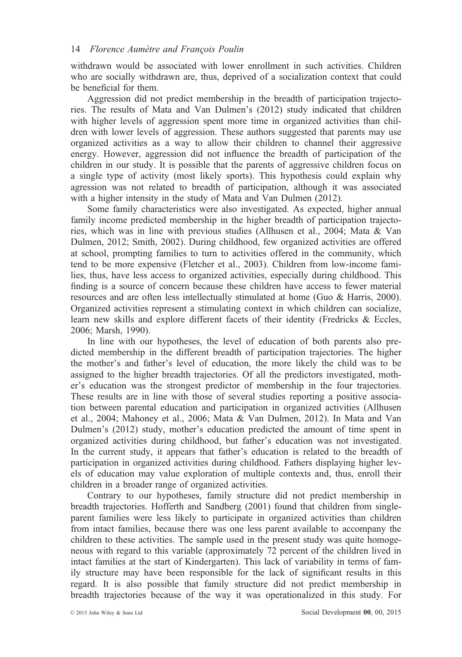withdrawn would be associated with lower enrollment in such activities. Children who are socially withdrawn are, thus, deprived of a socialization context that could be beneficial for them.

Aggression did not predict membership in the breadth of participation trajectories. The results of Mata and Van Dulmen's (2012) study indicated that children with higher levels of aggression spent more time in organized activities than children with lower levels of aggression. These authors suggested that parents may use organized activities as a way to allow their children to channel their aggressive energy. However, aggression did not influence the breadth of participation of the children in our study. It is possible that the parents of aggressive children focus on a single type of activity (most likely sports). This hypothesis could explain why agression was not related to breadth of participation, although it was associated with a higher intensity in the study of Mata and Van Dulmen (2012).

Some family characteristics were also investigated. As expected, higher annual family income predicted membership in the higher breadth of participation trajectories, which was in line with previous studies (Allhusen et al., 2004; Mata & Van Dulmen, 2012; Smith, 2002). During childhood, few organized activities are offered at school, prompting families to turn to activities offered in the community, which tend to be more expensive (Fletcher et al., 2003). Children from low-income families, thus, have less access to organized activities, especially during childhood. This finding is a source of concern because these children have access to fewer material resources and are often less intellectually stimulated at home (Guo & Harris, 2000). Organized activities represent a stimulating context in which children can socialize, learn new skills and explore different facets of their identity (Fredricks & Eccles, 2006; Marsh, 1990).

In line with our hypotheses, the level of education of both parents also predicted membership in the different breadth of participation trajectories. The higher the mother's and father's level of education, the more likely the child was to be assigned to the higher breadth trajectories. Of all the predictors investigated, mother's education was the strongest predictor of membership in the four trajectories. These results are in line with those of several studies reporting a positive association between parental education and participation in organized activities (Allhusen et al., 2004; Mahoney et al., 2006; Mata & Van Dulmen, 2012). In Mata and Van Dulmen's (2012) study, mother's education predicted the amount of time spent in organized activities during childhood, but father's education was not investigated. In the current study, it appears that father's education is related to the breadth of participation in organized activities during childhood. Fathers displaying higher levels of education may value exploration of multiple contexts and, thus, enroll their children in a broader range of organized activities.

Contrary to our hypotheses, family structure did not predict membership in breadth trajectories. Hofferth and Sandberg (2001) found that children from singleparent families were less likely to participate in organized activities than children from intact families, because there was one less parent available to accompany the children to these activities. The sample used in the present study was quite homogeneous with regard to this variable (approximately 72 percent of the children lived in intact families at the start of Kindergarten). This lack of variability in terms of family structure may have been responsible for the lack of significant results in this regard. It is also possible that family structure did not predict membership in breadth trajectories because of the way it was operationalized in this study. For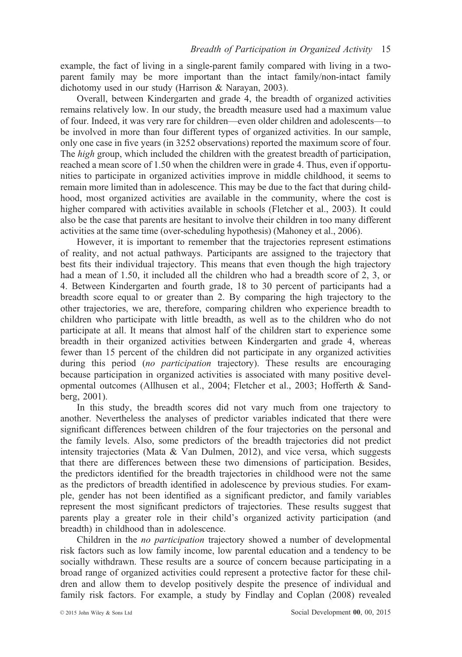example, the fact of living in a single-parent family compared with living in a twoparent family may be more important than the intact family/non-intact family dichotomy used in our study (Harrison & Narayan, 2003).

Overall, between Kindergarten and grade 4, the breadth of organized activities remains relatively low. In our study, the breadth measure used had a maximum value of four. Indeed, it was very rare for children—even older children and adolescents—to be involved in more than four different types of organized activities. In our sample, only one case in five years (in 3252 observations) reported the maximum score of four. The *high* group, which included the children with the greatest breadth of participation, reached a mean score of 1.50 when the children were in grade 4. Thus, even if opportunities to participate in organized activities improve in middle childhood, it seems to remain more limited than in adolescence. This may be due to the fact that during childhood, most organized activities are available in the community, where the cost is higher compared with activities available in schools (Fletcher et al., 2003). It could also be the case that parents are hesitant to involve their children in too many different activities at the same time (over-scheduling hypothesis) (Mahoney et al., 2006).

However, it is important to remember that the trajectories represent estimations of reality, and not actual pathways. Participants are assigned to the trajectory that best fits their individual trajectory. This means that even though the high trajectory had a mean of 1.50, it included all the children who had a breadth score of 2, 3, or 4. Between Kindergarten and fourth grade, 18 to 30 percent of participants had a breadth score equal to or greater than 2. By comparing the high trajectory to the other trajectories, we are, therefore, comparing children who experience breadth to children who participate with little breadth, as well as to the children who do not participate at all. It means that almost half of the children start to experience some breadth in their organized activities between Kindergarten and grade 4, whereas fewer than 15 percent of the children did not participate in any organized activities during this period (no participation trajectory). These results are encouraging because participation in organized activities is associated with many positive developmental outcomes (Allhusen et al., 2004; Fletcher et al., 2003; Hofferth & Sandberg, 2001).

In this study, the breadth scores did not vary much from one trajectory to another. Nevertheless the analyses of predictor variables indicated that there were significant differences between children of the four trajectories on the personal and the family levels. Also, some predictors of the breadth trajectories did not predict intensity trajectories (Mata & Van Dulmen, 2012), and vice versa, which suggests that there are differences between these two dimensions of participation. Besides, the predictors identified for the breadth trajectories in childhood were not the same as the predictors of breadth identified in adolescence by previous studies. For example, gender has not been identified as a significant predictor, and family variables represent the most significant predictors of trajectories. These results suggest that parents play a greater role in their child's organized activity participation (and breadth) in childhood than in adolescence.

Children in the no participation trajectory showed a number of developmental risk factors such as low family income, low parental education and a tendency to be socially withdrawn. These results are a source of concern because participating in a broad range of organized activities could represent a protective factor for these children and allow them to develop positively despite the presence of individual and family risk factors. For example, a study by Findlay and Coplan (2008) revealed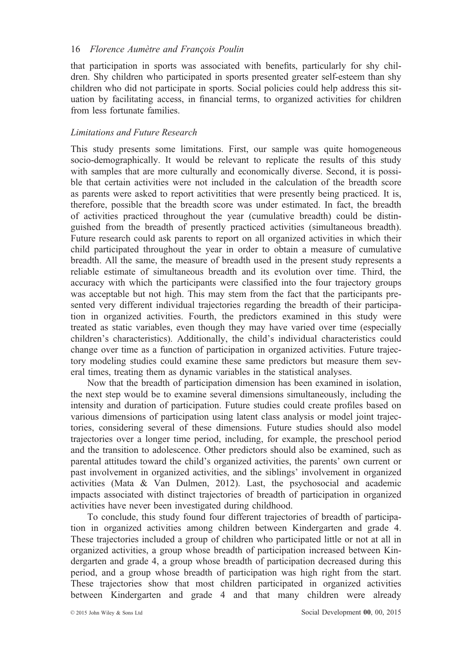that participation in sports was associated with benefits, particularly for shy children. Shy children who participated in sports presented greater self-esteem than shy children who did not participate in sports. Social policies could help address this situation by facilitating access, in financial terms, to organized activities for children from less fortunate families.

## Limitations and Future Research

This study presents some limitations. First, our sample was quite homogeneous socio-demographically. It would be relevant to replicate the results of this study with samples that are more culturally and economically diverse. Second, it is possible that certain activities were not included in the calculation of the breadth score as parents were asked to report activitities that were presently being practiced. It is, therefore, possible that the breadth score was under estimated. In fact, the breadth of activities practiced throughout the year (cumulative breadth) could be distinguished from the breadth of presently practiced activities (simultaneous breadth). Future research could ask parents to report on all organized activities in which their child participated throughout the year in order to obtain a measure of cumulative breadth. All the same, the measure of breadth used in the present study represents a reliable estimate of simultaneous breadth and its evolution over time. Third, the accuracy with which the participants were classified into the four trajectory groups was acceptable but not high. This may stem from the fact that the participants presented very different individual trajectories regarding the breadth of their participation in organized activities. Fourth, the predictors examined in this study were treated as static variables, even though they may have varied over time (especially children's characteristics). Additionally, the child's individual characteristics could change over time as a function of participation in organized activities. Future trajectory modeling studies could examine these same predictors but measure them several times, treating them as dynamic variables in the statistical analyses.

Now that the breadth of participation dimension has been examined in isolation, the next step would be to examine several dimensions simultaneously, including the intensity and duration of participation. Future studies could create profiles based on various dimensions of participation using latent class analysis or model joint trajectories, considering several of these dimensions. Future studies should also model trajectories over a longer time period, including, for example, the preschool period and the transition to adolescence. Other predictors should also be examined, such as parental attitudes toward the child's organized activities, the parents' own current or past involvement in organized activities, and the siblings' involvement in organized activities (Mata & Van Dulmen, 2012). Last, the psychosocial and academic impacts associated with distinct trajectories of breadth of participation in organized activities have never been investigated during childhood.

To conclude, this study found four different trajectories of breadth of participation in organized activities among children between Kindergarten and grade 4. These trajectories included a group of children who participated little or not at all in organized activities, a group whose breadth of participation increased between Kindergarten and grade 4, a group whose breadth of participation decreased during this period, and a group whose breadth of participation was high right from the start. These trajectories show that most children participated in organized activities between Kindergarten and grade 4 and that many children were already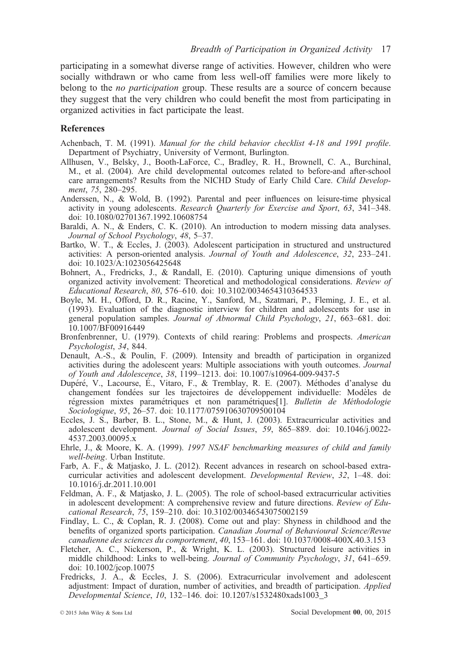participating in a somewhat diverse range of activities. However, children who were socially withdrawn or who came from less well-off families were more likely to belong to the *no participation* group. These results are a source of concern because they suggest that the very children who could benefit the most from participating in organized activities in fact participate the least.

#### **References**

- Achenbach, T. M. (1991). Manual for the child behavior checklist 4-18 and 1991 profile. Department of Psychiatry, University of Vermont, Burlington.
- Allhusen, V., Belsky, J., Booth-LaForce, C., Bradley, R. H., Brownell, C. A., Burchinal, M., et al. (2004). Are child developmental outcomes related to before-and after-school care arrangements? Results from the NICHD Study of Early Child Care. Child Development, 75, 280–295.
- Anderssen, N., & Wold, B. (1992). Parental and peer influences on leisure-time physical activity in young adolescents. Research Quarterly for Exercise and Sport, 63, 341–348. doi: [10.1080/02701367.1992.10608754](info:doi/10.1080/02701367.1992.10608754)
- Baraldi, A. N., & Enders, C. K. (2010). An introduction to modern missing data analyses. Journal of School Psychology, 48, 5–37.
- Bartko, W. T., & Eccles, J. (2003). Adolescent participation in structured and unstructured activities: A person-oriented analysis. Journal of Youth and Adolescence, 32, 233–241. doi: [10.1023/A:1023056425648](info:doi/10.1023/A:1023056425648)
- Bohnert, A., Fredricks, J., & Randall, E. (2010). Capturing unique dimensions of youth organized activity involvement: Theoretical and methodological considerations. Review of Educational Research, 80, 576–610. doi: [10.3102/0034654310364533](info:doi/10.3102/0034654310364533)
- Boyle, M. H., Offord, D. R., Racine, Y., Sanford, M., Szatmari, P., Fleming, J. E., et al. (1993). Evaluation of the diagnostic interview for children and adolescents for use in general population samples. Journal of Abnormal Child Psychology, 21, 663–681. doi: [10.1007/BF00916449](info:doi/10.1007/BF00916449)
- Bronfenbrenner, U. (1979). Contexts of child rearing: Problems and prospects. American Psychologist, 34, 844.
- Denault, A.-S., & Poulin, F. (2009). Intensity and breadth of participation in organized activities during the adolescent years: Multiple associations with youth outcomes. Journal of Youth and Adolescence, 38, 1199–1213. doi: [10.1007/s10964-009-9437-5](info:doi/10.1007/s10964-009-9437-5)
- Dupéré, V., Lacourse, É., Vitaro, F., & Tremblay, R. E. (2007). Méthodes d'analyse du changement fondées sur les trajectoires de développement individuelle: Modèles de régression mixtes paramétriques et non paramétriques[1]. Bulletin de Méthodologie Sociologique, 95, 26–57. doi: [10.1177/075910630709500104](info:doi/10.1177/075910630709500104)
- Eccles, J. S., Barber, B. L., Stone, M., & Hunt, J. (2003). Extracurricular activities and adolescent development. Journal of Social Issues, 59, 865–889. doi: [10.1046/j.0022-](info:doi/10.1046/j.0022-4537.2003.00095.x) [4537.2003.00095.x](info:doi/10.1046/j.0022-4537.2003.00095.x)
- Ehrle, J., & Moore, K. A. (1999). 1997 NSAF benchmarking measures of child and family well-being. Urban Institute.
- Farb, A. F., & Matjasko, J. L. (2012). Recent advances in research on school-based extracurricular activities and adolescent development. Developmental Review, 32, 1–48. doi: [10.1016/j.dr.2011.10.001](info:doi/10.1016/j.dr.2011.10.001)
- Feldman, A. F., & Matjasko, J. L. (2005). The role of school-based extracurricular activities in adolescent development: A comprehensive review and future directions. Review of Educational Research, 75, 159–210. doi: [10.3102/00346543075002159](info:doi/10.3102/00346543075002159)
- Findlay, L. C., & Coplan, R. J. (2008). Come out and play: Shyness in childhood and the benefits of organized sports participation. Canadian Journal of Behavioural Science/Revue canadienne des sciences du comportement, 40, 153–161. doi: [10.1037/0008-400X.40.3.153](info:doi/10.1037/0008-400X.40.3.153)
- Fletcher, A. C., Nickerson, P., & Wright, K. L. (2003). Structured leisure activities in middle childhood: Links to well-being. Journal of Community Psychology, 31, 641–659. doi: [10.1002/jcop.10075](info:doi/10.1002/jcop.10075)
- Fredricks, J. A., & Eccles, J. S. (2006). Extracurricular involvement and adolescent adjustment: Impact of duration, number of activities, and breadth of participation. Applied Developmental Science, 10, 132–146. doi: [10.1207/s1532480xads1003\\_3](info:doi/10.1207/s1532480xads1003_3)